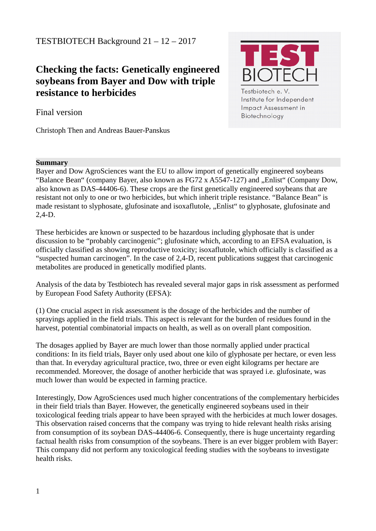# TESTBIOTECH Background 21 – 12 – 2017

# **Checking the facts: Genetically engineered soybeans from Bayer and Dow with triple resistance to herbicides**



Impact Assessment in

Biotechnology

Final version

Christoph Then and Andreas Bauer-Panskus

#### **Summary**

Bayer and Dow AgroSciences want the EU to allow import of genetically engineered soybeans "Balance Bean" (company Bayer, also known as FG72 x A5547-127) and "Enlist" (Company Dow, also known as DAS-44406-6). These crops are the first genetically engineered soybeans that are resistant not only to one or two herbicides, but which inherit triple resistance. "Balance Bean" is made resistant to slyphosate, glufosinate and isoxaflutole, "Enlist" to glyphosate, glufosinate and 2,4-D.

These herbicides are known or suspected to be hazardous including glyphosate that is under discussion to be "probably carcinogenic"; glufosinate which, according to an EFSA evaluation, is officially classified as showing reproductive toxicity; isoxaflutole, which officially is classified as a "suspected human carcinogen". In the case of 2,4-D, recent publications suggest that carcinogenic metabolites are produced in genetically modified plants.

Analysis of the data by Testbiotech has revealed several major gaps in risk assessment as performed by European Food Safety Authority (EFSA):

(1) One crucial aspect in risk assessment is the dosage of the herbicides and the number of sprayings applied in the field trials. This aspect is relevant for the burden of residues found in the harvest, potential combinatorial impacts on health, as well as on overall plant composition.

The dosages applied by Bayer are much lower than those normally applied under practical conditions: In its field trials, Bayer only used about one kilo of glyphosate per hectare, or even less than that. In everyday agricultural practice, two, three or even eight kilograms per hectare are recommended. Moreover, the dosage of another herbicide that was sprayed i.e. glufosinate, was much lower than would be expected in farming practice.

Interestingly, Dow AgroSciences used much higher concentrations of the complementary herbicides in their field trials than Bayer. However, the genetically engineered soybeans used in their toxicological feeding trials appear to have been sprayed with the herbicides at much lower dosages. This observation raised concerns that the company was trying to hide relevant health risks arising from consumption of its soybean DAS-44406-6. Consequently, there is huge uncertainty regarding factual health risks from consumption of the soybeans. There is an ever bigger problem with Bayer: This company did not perform any toxicological feeding studies with the soybeans to investigate health risks.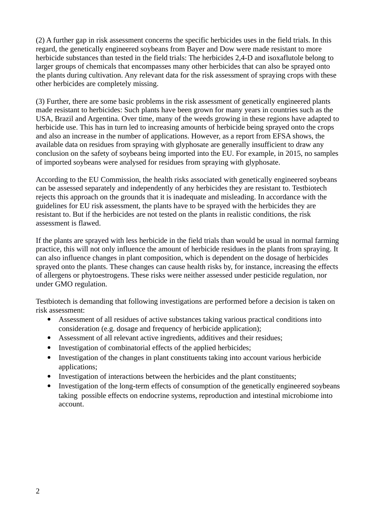(2) A further gap in risk assessment concerns the specific herbicides uses in the field trials. In this regard, the genetically engineered soybeans from Bayer and Dow were made resistant to more herbicide substances than tested in the field trials: The herbicides 2,4-D and isoxaflutole belong to larger groups of chemicals that encompasses many other herbicides that can also be sprayed onto the plants during cultivation. Any relevant data for the risk assessment of spraying crops with these other herbicides are completely missing.

(3) Further, there are some basic problems in the risk assessment of genetically engineered plants made resistant to herbicides: Such plants have been grown for many years in countries such as the USA, Brazil and Argentina. Over time, many of the weeds growing in these regions have adapted to herbicide use. This has in turn led to increasing amounts of herbicide being sprayed onto the crops and also an increase in the number of applications. However, as a report from EFSA shows, the available data on residues from spraying with glyphosate are generally insufficient to draw any conclusion on the safety of soybeans being imported into the EU. For example, in 2015, no samples of imported soybeans were analysed for residues from spraying with glyphosate.

According to the EU Commission, the health risks associated with genetically engineered soybeans can be assessed separately and independently of any herbicides they are resistant to. Testbiotech rejects this approach on the grounds that it is inadequate and misleading. In accordance with the guidelines for EU risk assessment, the plants have to be sprayed with the herbicides they are resistant to. But if the herbicides are not tested on the plants in realistic conditions, the risk assessment is flawed.

If the plants are sprayed with less herbicide in the field trials than would be usual in normal farming practice, this will not only influence the amount of herbicide residues in the plants from spraying. It can also influence changes in plant composition, which is dependent on the dosage of herbicides sprayed onto the plants. These changes can cause health risks by, for instance, increasing the effects of allergens or phytoestrogens. These risks were neither assessed under pesticide regulation, nor under GMO regulation.

Testbiotech is demanding that following investigations are performed before a decision is taken on risk assessment:

- Assessment of all residues of active substances taking various practical conditions into consideration (e.g. dosage and frequency of herbicide application);
- Assessment of all relevant active ingredients, additives and their residues;
- Investigation of combinatorial effects of the applied herbicides;
- Investigation of the changes in plant constituents taking into account various herbicide applications;
- Investigation of interactions between the herbicides and the plant constituents;
- Investigation of the long-term effects of consumption of the genetically engineered soybeans taking possible effects on endocrine systems, reproduction and intestinal microbiome into account.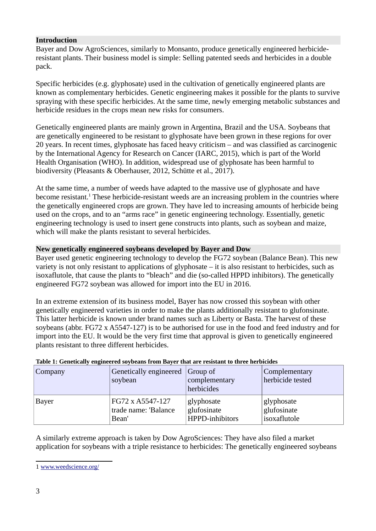#### **Introduction**

Bayer and Dow AgroSciences, similarly to Monsanto, produce genetically engineered herbicideresistant plants. Their business model is simple: Selling patented seeds and herbicides in a double pack.

Specific herbicides (e.g. glyphosate) used in the cultivation of genetically engineered plants are known as complementary herbicides. Genetic engineering makes it possible for the plants to survive spraying with these specific herbicides. At the same time, newly emerging metabolic substances and herbicide residues in the crops mean new risks for consumers.

Genetically engineered plants are mainly grown in Argentina, Brazil and the USA. Soybeans that are genetically engineered to be resistant to glyphosate have been grown in these regions for over 20 years. In recent times, glyphosate has faced heavy criticism – and was classified as carcinogenic by the International Agency for Research on Cancer (IARC, 2015), which is part of the World Health Organisation (WHO). In addition, widespread use of glyphosate has been harmful to biodiversity (Pleasants & Oberhauser, 2012, Schütte et al., 2017).

At the same time, a number of weeds have adapted to the massive use of glyphosate and have become resistant.<sup>[1](#page-2-0)</sup> These herbicide-resistant weeds are an increasing problem in the countries where the genetically engineered crops are grown. They have led to increasing amounts of herbicide being used on the crops, and to an "arms race" in genetic engineering technology. Essentially, genetic engineering technology is used to insert gene constructs into plants, such as soybean and maize, which will make the plants resistant to several herbicides.

#### **New genetically engineered soybeans developed by Bayer and Dow**

Bayer used genetic engineering technology to develop the FG72 soybean (Balance Bean). This new variety is not only resistant to applications of glyphosate – it is also resistant to herbicides, such as isoxaflutole, that cause the plants to "bleach" and die (so-called HPPD inhibitors). The genetically engineered FG72 soybean was allowed for import into the EU in 2016.

In an extreme extension of its business model, Bayer has now crossed this soybean with other genetically engineered varieties in order to make the plants additionally resistant to glufonsinate. This latter herbicide is known under brand names such as Liberty or Basta. The harvest of these soybeans (abbr. FG72 x A5547-127) is to be authorised for use in the food and feed industry and for import into the EU. It would be the very first time that approval is given to genetically engineered plants resistant to three different herbicides.

| Company      | Genetically engineered<br>soybean | $ Group\;of$<br>complementary<br>herbicides | Complementary<br>herbicide tested |
|--------------|-----------------------------------|---------------------------------------------|-----------------------------------|
| <b>Bayer</b> | FG72 x A5547-127                  | glyphosate                                  | glyphosate                        |
|              | trade name: 'Balance              | glufosinate                                 | glufosinate                       |
|              | Bean'                             | HPPD-inhibitors                             | isoxaflutole                      |

#### **Table 1: Genetically engineered soybeans from Bayer that are resistant to three herbicides**

A similarly extreme approach is taken by Dow AgroSciences: They have also filed a market application for soybeans with a triple resistance to herbicides: The genetically engineered soybeans

<span id="page-2-0"></span><sup>1</sup> [www.weedscience.org/](http://www.weedscience.org/)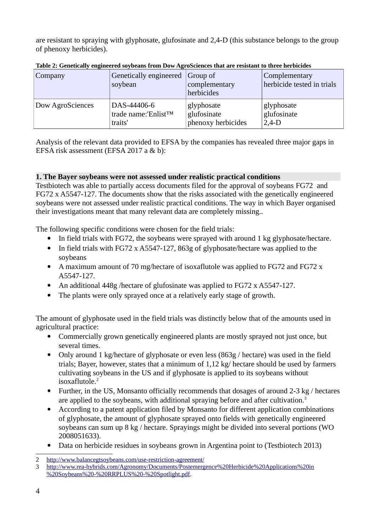are resistant to spraying with glyphosate, glufosinate and 2,4-D (this substance belongs to the group of phenoxy herbicides).

| Company          | Genetically engineered Group of | complementary      | <b>Complementary</b>       |
|------------------|---------------------------------|--------------------|----------------------------|
|                  | soybean                         | herbicides         | herbicide tested in trials |
| Dow AgroSciences | DAS-44406-6                     | glyphosate         | glyphosate                 |
|                  | trade name:'Enlist™             | glufosinate        | glufosinate                |
|                  | traits'                         | phenoxy herbicides | $2,4-D$                    |

**Table 2: Genetically engineered soybeans from Dow AgroSciences that are resistant to three herbicides**

Analysis of the relevant data provided to EFSA by the companies has revealed three major gaps in EFSA risk assessment (EFSA 2017 a & b):

## **1. The Bayer soybeans were not assessed under realistic practical conditions**

Testbiotech was able to partially access documents filed for the approval of soybeans FG72 and FG72 x A5547-127. The documents show that the risks associated with the genetically engineered soybeans were not assessed under realistic practical conditions. The way in which Bayer organised their investigations meant that many relevant data are completely missing..

The following specific conditions were chosen for the field trials:

- In field trials with FG72, the soybeans were sprayed with around 1 kg glyphosate/hectare.
- In field trials with FG72 x A5547-127, 863g of glyphosate/hectare was applied to the soybeans
- A maximum amount of 70 mg/hectare of isoxaflutole was applied to FG72 and FG72 x A5547-127.
- An additional 448g /hectare of glufosinate was applied to FG72 x A5547-127.
- The plants were only sprayed once at a relatively early stage of growth.

The amount of glyphosate used in the field trials was distinctly below that of the amounts used in agricultural practice:

- Commercially grown genetically engineered plants are mostly sprayed not just once, but several times.
- Only around 1 kg/hectare of glyphosate or even less (863g / hectare) was used in the field trials; Bayer, however, states that a minimum of 1,12 kg/ hectare should be used by farmers cultivating soybeans in the US and if glyphosate is applied to its soybeans without isoxaflutole.<sup>[2](#page-3-0)</sup>
- Further, in the US, Monsanto officially recommends that dosages of around 2-3 kg / hectares are applied to the soybeans, with additional spraying before and after cultivation.<sup>[3](#page-3-1)</sup>
- According to a patent application filed by Monsanto for different application combinations of glyphosate, the amount of glyphosate sprayed onto fields with genetically engineered soybeans can sum up 8 kg / hectare. Sprayings might be divided into several portions (WO 2008051633).
- Data on herbicide residues in soybeans grown in Argentina point to (Testbiotech 2013)

<span id="page-3-0"></span><sup>2</sup> <http://www.balancegtsoybeans.com/use-restriction-agreement/>

<span id="page-3-1"></span><sup>3</sup> [http://www.rea-hybrids.com/Agronomy/Documents/Postemergence%20Herbicide%20Applications%20in](http://www.rea-hybrids.com/Agronomy/Documents/Postemergence%20Herbicide%20Applications%20in%20Soybeans%20-%20RRPLUS%20-%20Spotlight.pdf) [%20Soybeans%20-%20RRPLUS%20-%20Spotlight.pdf.](http://www.rea-hybrids.com/Agronomy/Documents/Postemergence%20Herbicide%20Applications%20in%20Soybeans%20-%20RRPLUS%20-%20Spotlight.pdf)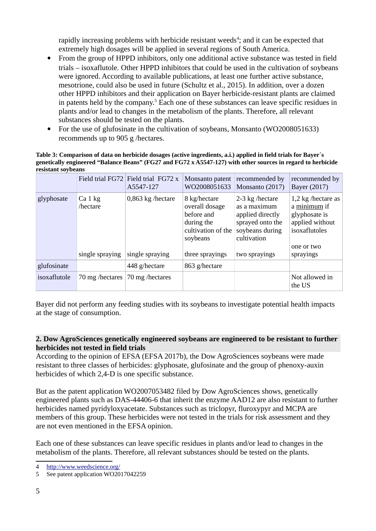rapidly increasing problems with herbicide resistant weeds<sup>[4](#page-4-0)</sup>; and it can be expected that extremely high dosages will be applied in several regions of South America.

- From the group of HPPD inhibitors, only one additional active substance was tested in field trials – isoxaflutole. Other HPPD inhibitors that could be used in the cultivation of soybeans were ignored. According to available publications, at least one further active substance, mesotrione, could also be used in future (Schultz et al., 2015). In addition, over a dozen other HPPD inhibitors and their application on Bayer herbicide-resistant plants are claimed in patents held by the company.<sup>[5](#page-4-1)</sup> Each one of these substances can leave specific residues in plants and/or lead to changes in the metabolism of the plants. Therefore, all relevant substances should be tested on the plants.
- For the use of glufosinate in the cultivation of sovbeans, Monsanto (WO2008051633) recommends up to 905 g /hectares.

#### **Table 3: Comparison of data on herbicide dosages (active ingredients, a.i.) applied in field trials for Bayer´s genetically engineered "Balance Beans" (FG27 and FG72 x A5547-127) with other sources in regard to herbicide resistant soybeans**

|              |                      | Field trial FG72 Field trial FG72 x<br>A5547-127 | Monsanto patent<br>WO2008051633                                                              | recommended by<br>Monsanto (2017)                                                                         | recommended by<br>Bayer (2017)                                                                        |
|--------------|----------------------|--------------------------------------------------|----------------------------------------------------------------------------------------------|-----------------------------------------------------------------------------------------------------------|-------------------------------------------------------------------------------------------------------|
| glyphosate   | $Ca1$ kg<br>/hectare | 0,863 kg /hectare                                | 8 kg/hectare<br>overall dosage<br>before and<br>during the<br>cultivation of the<br>soybeans | 2-3 kg /hectare<br>as a maximum<br>applied directly<br>sprayed onto the<br>soybeans during<br>cultivation | 1,2 kg /hectare as<br>a minimum if<br>glyphosate is<br>applied without<br>isoxaflutoles<br>one or two |
|              | single spraying      | single spraying                                  | three sprayings                                                                              | two sprayings                                                                                             | sprayings                                                                                             |
| glufosinate  |                      | 448 g/hectare                                    | 863 g/hectare                                                                                |                                                                                                           |                                                                                                       |
| isoxaflutole | 70 mg /hectares      | 70 mg /hectares                                  |                                                                                              |                                                                                                           | Not allowed in<br>the US                                                                              |

Bayer did not perform any feeding studies with its soybeans to investigate potential health impacts at the stage of consumption.

# **2. Dow AgroSciences genetically engineered soybeans are engineered to be resistant to further herbicides not tested in field trials**

According to the opinion of EFSA (EFSA 2017b), the Dow AgroSciences soybeans were made resistant to three classes of herbicides: glyphosate, glufosinate and the group of phenoxy-auxin herbicides of which 2,4-D is one specific substance.

But as the patent application WO2007053482 filed by Dow AgroSciences shows, genetically engineered plants such as DAS-44406-6 that inherit the enzyme AAD12 are also resistant to further herbicides named pyridyloxyacetate. Substances such as triclopyr, fluroxypyr and MCPA are members of this group. These herbicides were not tested in the trials for risk assessment and they are not even mentioned in the EFSA opinion.

Each one of these substances can leave specific residues in plants and/or lead to changes in the metabolism of the plants. Therefore, all relevant substances should be tested on the plants.

<span id="page-4-0"></span><sup>4</sup> <http://www.weedscience.org/>

<span id="page-4-1"></span><sup>5</sup> See patent application WO2017042259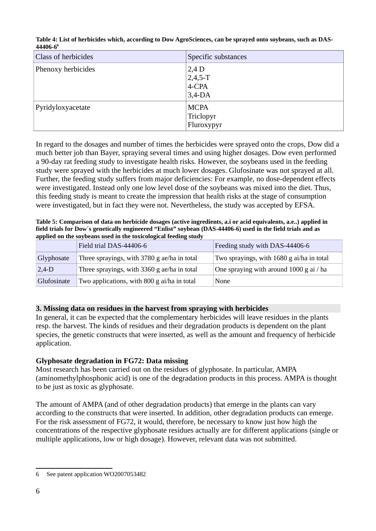| <b>Class of herbicides</b> | Specific substances                       |
|----------------------------|-------------------------------------------|
| Phenoxy herbicides         | $2,4$ D<br>$2,4,5-T$<br>4-CPA<br>$3,4-DA$ |
| Pyridyloxyacetate          | <b>MCPA</b><br>Triclopyr<br>Fluroxypyr    |

**Table 4: List of herbicides which, according to Dow AgroSciences, can be sprayed onto soybeans, such as DAS-44406-6[6](#page-5-0)**

In regard to the dosages and number of times the herbicides were sprayed onto the crops, Dow did a much better job than Bayer, spraying several times and using higher dosages. Dow even performed a 90-day rat feeding study to investigate health risks. However, the soybeans used in the feeding study were sprayed with the herbicides at much lower dosages. Glufosinate was not sprayed at all. Further, the feeding study suffers from major deficiencies: For example, no dose-dependent effects were investigated. Instead only one low level dose of the soybeans was mixed into the diet. Thus, this feeding study is meant to create the impression that health risks at the stage of consumption were investigated, but in fact they were not. Nevertheless, the study was accepted by EFSA.

**Table 5: Comparison of data on herbicide dosages (active ingredients, a.i or acid equivalents, a.e..) applied in field trials for Dow´s genetically engineered "Enlist" soybean (DAS-44406-6) used in the field trials and as applied on the soybeans used in the toxicological feeding study** 

|             | Field trial DAS-44406-6                     | Feeding study with DAS-44406-6            |
|-------------|---------------------------------------------|-------------------------------------------|
| Glyphosate  | Three sprayings, with 3780 g ae/ha in total | Two sprayings, with 1680 g ai/ha in total |
| $2,4-D$     | Three sprayings, with 3360 g ae/ha in total | One spraying with around 1000 g ai / ha   |
| Glufosinate | Two applications, with 800 g ai/ha in total | None                                      |

## **3. Missing data on residues in the harvest from spraying with herbicides**

In general, it can be expected that the complementary herbicides will leave residues in the plants resp. the harvest. The kinds of residues and their degradation products is dependent on the plant species, the genetic constructs that were inserted, as well as the amount and frequency of herbicide application.

## **Glyphosate degradation in FG72: Data missing**

Most research has been carried out on the residues of glyphosate. In particular, AMPA (aminomethylphosphonic acid) is one of the degradation products in this process. AMPA is thought to be just as toxic as glyphosate.

The amount of AMPA (and of other degradation products) that emerge in the plants can vary according to the constructs that were inserted. In addition, other degradation products can emerge. For the risk assessment of FG72, it would, therefore, be necessary to know just how high the concentrations of the respective glyphosate residues actually are for different applications (single or multiple applications, low or high dosage). However, relevant data was not submitted.

<span id="page-5-0"></span><sup>6</sup> See patent application WO2007053482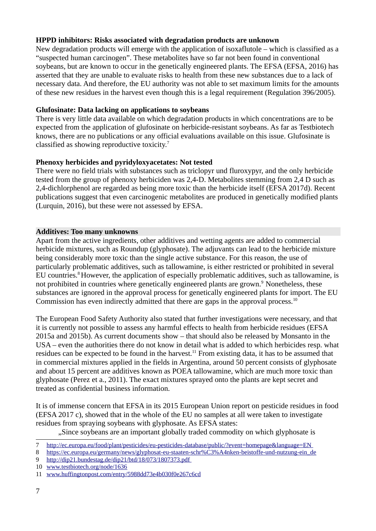## **HPPD inhibitors: Risks associated with degradation products are unknown**

New degradation products will emerge with the application of isoxaflutole – which is classified as a "suspected human carcinogen". These metabolites have so far not been found in conventional soybeans, but are known to occur in the genetically engineered plants. The EFSA (EFSA, 2016) has asserted that they are unable to evaluate risks to health from these new substances due to a lack of necessary data. And therefore, the EU authority was not able to set maximum limits for the amounts of these new residues in the harvest even though this is a legal requirement (Regulation 396/2005).

# **Glufosinate: Data lacking on applications to soybeans**

There is very little data available on which degradation products in which concentrations are to be expected from the application of glufosinate on herbicide-resistant soybeans. As far as Testbiotech knows, there are no publications or any official evaluations available on this issue. Glufosinate is classified as showing reproductive toxicity.[7](#page-6-0)

# **Phenoxy herbicides and pyridyloxyacetates: Not tested**

There were no field trials with substances such as triclopyr und fluroxypyr, and the only herbicide tested from the group of phenoxy herbiciden was 2,4-D. Metabolites stemming from 2,4 D such as 2,4-dichlorphenol are regarded as being more toxic than the herbicide itself (EFSA 2017d). Recent publications suggest that even carcinogenic metabolites are produced in genetically modified plants (Lurquin, 2016), but these were not assessed by EFSA.

# **Additives: Too many unknowns**

Apart from the active ingredients, other additives and wetting agents are added to commercial herbicide mixtures, such as Roundup (glyphosate). The adjuvants can lead to the herbicide mixture being considerably more toxic than the single active substance. For this reason, the use of particularly problematic additives, such as tallowamine, is either restricted or prohibited in several EU countries.<sup>[8](#page-6-1)</sup> However, the application of especially problematic additives, such as tallowamine, is not prohibited in countries where genetically engineered plants are grown.<sup>9</sup> Nonetheless, these substances are ignored in the approval process for genetically engineered plants for import. The EU Commission has even indirectly admitted that there are gaps in the approval process.<sup>[10](#page-6-3)</sup>

The European Food Safety Authority also stated that further investigations were necessary, and that it is currently not possible to assess any harmful effects to health from herbicide residues (EFSA 2015a and 2015b). As current documents show – that should also be released by Monsanto in the USA – even the authorities there do not know in detail what is added to which herbicides resp. what residues can be expected to be found in the harvest.<sup>[11](#page-6-4)</sup> From existing data, it has to be assumed that in commercial mixtures applied in the fields in Argentina, around 50 percent consists of glyphosate and about 15 percent are additives known as POEA tallowamine, which are much more toxic than glyphosate (Perez et a., 2011). The exact mixtures sprayed onto the plants are kept secret and treated as confidential business information.

It is of immense concern that EFSA in its 2015 European Union report on pesticide residues in food (EFSA 2017 c), showed that in the whole of the EU no samples at all were taken to investigate residues from spraying soybeans with glyphosate. As EFSA states:

"Since soybeans are an important globally traded commodity on which glyphosate is

<span id="page-6-0"></span><sup>7</sup> [h ttp://ec.europa.eu/food/plant/pesticides/eu-pesticides-database/public/?event=homepage&language=EN](http://ec.europa.eu/food/plant/pesticides/eu-pesticides-database/public/?event=homepage&language=EN)

<span id="page-6-1"></span><sup>8</sup> https://ec.europa.eu/germany/news/glyphosat-eu-staaten-schr%C3%A4nken-beistoffe-und-nutzung-ein de

<span id="page-6-2"></span><sup>9</sup><http://dip21.bundestag.de/dip21/btd/18/073/1807373.pdf>

<span id="page-6-3"></span><sup>10</sup> [www.testbiotech.org/node/1636](http://www.testbiotech.org/node/1636)

<span id="page-6-4"></span><sup>11</sup> [www.huffingtonpost.com/entry/5988dd73e4b030f0e267c6cd](http://www.huffingtonpost.com/entry/5988dd73e4b030f0e267c6cd)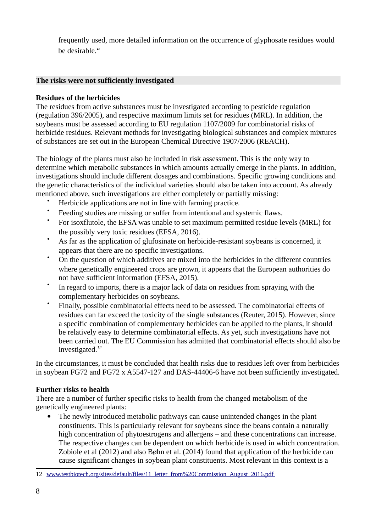frequently used, more detailed information on the occurrence of glyphosate residues would be desirable."

## **The risks were not sufficiently investigated**

## **Residues of the herbicides**

The residues from active substances must be investigated according to pesticide regulation (regulation 396/2005), and respective maximum limits set for residues (MRL). In addition, the soybeans must be assessed according to EU regulation 1107/2009 for combinatorial risks of herbicide residues. Relevant methods for investigating biological substances and complex mixtures of substances are set out in the European Chemical Directive 1907/2006 (REACH).

The biology of the plants must also be included in risk assessment. This is the only way to determine which metabolic substances in which amounts actually emerge in the plants. In addition, investigations should include different dosages and combinations. Specific growing conditions and the genetic characteristics of the individual varieties should also be taken into account. As already mentioned above, such investigations are either completely or partially missing:

- Herbicide applications are not in line with farming practice.
- $\bullet$ Feeding studies are missing or suffer from intentional and systemic flaws.
- $\bullet$ For isoxflutole, the EFSA was unable to set maximum permitted residue levels (MRL) for the possibly very toxic residues (EFSA, 2016).
- As far as the application of glufosinate on herbicide-resistant soybeans is concerned, it appears that there are no specific investigations.
- On the question of which additives are mixed into the herbicides in the different countries where genetically engineered crops are grown, it appears that the European authorities do not have sufficient information (EFSA, 2015).
- $\bullet$ In regard to imports, there is a major lack of data on residues from spraying with the complementary herbicides on soybeans.
- $\bullet$ Finally, possible combinatorial effects need to be assessed. The combinatorial effects of residues can far exceed the toxicity of the single substances (Reuter, 2015). However, since a specific combination of complementary herbicides can be applied to the plants, it should be relatively easy to determine combinatorial effects. As yet, such investigations have not been carried out. The EU Commission has admitted that combinatorial effects should also be investigated.*[12](#page-7-0)*

In the circumstances, it must be concluded that health risks due to residues left over from herbicides in soybean FG72 and FG72 x A5547-127 and DAS-44406-6 have not been sufficiently investigated.

## **Further risks to health**

There are a number of further specific risks to health from the changed metabolism of the genetically engineered plants:

 The newly introduced metabolic pathways can cause unintended changes in the plant constituents. This is particularly relevant for soybeans since the beans contain a naturally high concentration of phytoestrogens and allergens – and these concentrations can increase. The respective changes can be dependent on which herbicide is used in which concentration. Zobiole et al (2012) and also Bøhn et al. (2014) found that application of the herbicide can cause significant changes in soybean plant constituents. Most relevant in this context is a

<span id="page-7-0"></span><sup>12</sup> [www.testbiotech.org/sites/default/files/11\\_letter\\_from%20Commission\\_August\\_2016.pdf](http://www.testbiotech.org/sites/default/files/11_letter_from%20Commission_August_2016.pdf)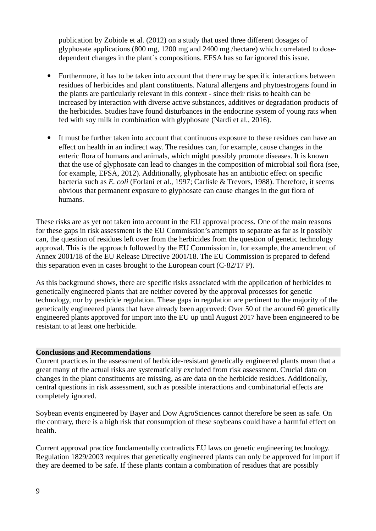publication by Zobiole et al. (2012) on a study that used three different dosages of glyphosate applications (800 mg, 1200 mg and 2400 mg /hectare) which correlated to dosedependent changes in the plant´s compositions. EFSA has so far ignored this issue.

- Furthermore, it has to be taken into account that there may be specific interactions between residues of herbicides and plant constituents. Natural allergens and phytoestrogens found in the plants are particularly relevant in this context - since their risks to health can be increased by interaction with diverse active substances, additives or degradation products of the herbicides. Studies have found disturbances in the endocrine system of young rats when fed with soy milk in combination with glyphosate (Nardi et al., 2016).
- It must be further taken into account that continuous exposure to these residues can have an effect on health in an indirect way. The residues can, for example, cause changes in the enteric flora of humans and animals, which might possibly promote diseases. It is known that the use of glyphosate can lead to changes in the composition of microbial soil flora (see, for example, EFSA, 2012). Additionally, glyphosate has an antibiotic effect on specific bacteria such as *E. coli* (Forlani et al., 1997; Carlisle & Trevors, 1988). Therefore, it seems obvious that permanent exposure to glyphosate can cause changes in the gut flora of humans.

These risks are as yet not taken into account in the EU approval process. One of the main reasons for these gaps in risk assessment is the EU Commission's attempts to separate as far as it possibly can, the question of residues left over from the herbicides from the question of genetic technology approval. This is the approach followed by the EU Commission in, for example, the amendment of Annex 2001/18 of the EU Release Directive 2001/18. The EU Commission is prepared to defend this separation even in cases brought to the European court (C-82/17 P).

As this background shows, there are specific risks associated with the application of herbicides to genetically engineered plants that are neither covered by the approval processes for genetic technology, nor by pesticide regulation. These gaps in regulation are pertinent to the majority of the genetically engineered plants that have already been approved: Over 50 of the around 60 genetically engineered plants approved for import into the EU up until August 2017 have been engineered to be resistant to at least one herbicide.

#### **Conclusions and Recommendations**

Current practices in the assessment of herbicide-resistant genetically engineered plants mean that a great many of the actual risks are systematically excluded from risk assessment. Crucial data on changes in the plant constituents are missing, as are data on the herbicide residues. Additionally, central questions in risk assessment, such as possible interactions and combinatorial effects are completely ignored.

Soybean events engineered by Bayer and Dow AgroSciences cannot therefore be seen as safe. On the contrary, there is a high risk that consumption of these soybeans could have a harmful effect on health.

Current approval practice fundamentally contradicts EU laws on genetic engineering technology. Regulation 1829/2003 requires that genetically engineered plants can only be approved for import if they are deemed to be safe. If these plants contain a combination of residues that are possibly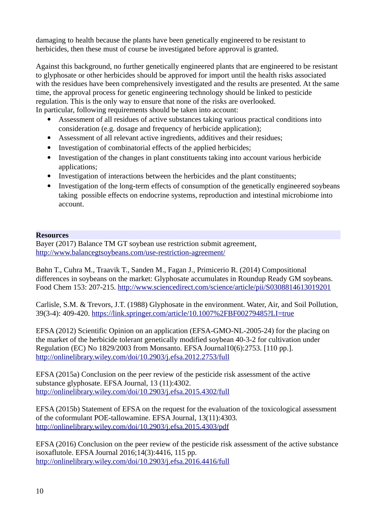damaging to health because the plants have been genetically engineered to be resistant to herbicides, then these must of course be investigated before approval is granted.

Against this background, no further genetically engineered plants that are engineered to be resistant to glyphosate or other herbicides should be approved for import until the health risks associated with the residues have been comprehensively investigated and the results are presented. At the same time, the approval process for genetic engineering technology should be linked to pesticide regulation. This is the only way to ensure that none of the risks are overlooked. In particular, following requirements should be taken into account:

- Assessment of all residues of active substances taking various practical conditions into consideration (e.g. dosage and frequency of herbicide application);
- Assessment of all relevant active ingredients, additives and their residues;
- Investigation of combinatorial effects of the applied herbicides;
- Investigation of the changes in plant constituents taking into account various herbicide applications;
- Investigation of interactions between the herbicides and the plant constituents;
- Investigation of the long-term effects of consumption of the genetically engineered soybeans taking possible effects on endocrine systems, reproduction and intestinal microbiome into account.

#### **Resources**

Bayer (2017) Balance TM GT soybean use restriction submit agreement, <http://www.balancegtsoybeans.com/use-restriction-agreement/>

Bøhn T., Cuhra M., Traavik T., Sanden M., Fagan J., Primicerio R. (2014) Compositional differences in soybeans on the market: Glyphosate accumulates in Roundup Ready GM soybeans. Food Chem 153: 207-215.<http://www.sciencedirect.com/science/article/pii/S0308814613019201>

Carlisle, S.M. & Trevors, J.T. (1988) Glyphosate in the environment. Water, Air, and Soil Pollution, 39(3-4): 409-420.<https://link.springer.com/article/10.1007%2FBF00279485?LI=true>

EFSA (2012) Scientific Opinion on an application (EFSA-GMO-NL-2005-24) for the placing on the market of the herbicide tolerant genetically modified soybean 40-3-2 for cultivation under Regulation (EC) No 1829/2003 from Monsanto. EFSA Journal10(6):2753. [110 pp.]. <http://onlinelibrary.wiley.com/doi/10.2903/j.efsa.2012.2753/full>

EFSA (2015a) Conclusion on the peer review of the pesticide risk assessment of the active substance glyphosate. EFSA Journal, 13 (11):4302. <http://onlinelibrary.wiley.com/doi/10.2903/j.efsa.2015.4302/full>

EFSA (2015b) Statement of EFSA on the request for the evaluation of the toxicological assessment of the coformulant POE-tallowamine. EFSA Journal, 13(11):4303. <http://onlinelibrary.wiley.com/doi/10.2903/j.efsa.2015.4303/pdf>

EFSA (2016) Conclusion on the peer review of the pesticide risk assessment of the active substance isoxaflutole. EFSA Journal 2016;14(3):4416, 115 pp. <http://onlinelibrary.wiley.com/doi/10.2903/j.efsa.2016.4416/full>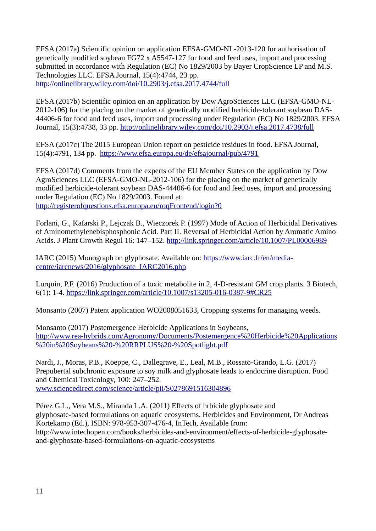EFSA (2017a) Scientific opinion on application EFSA-GMO-NL-2013-120 for authorisation of genetically modified soybean FG72 x A5547-127 for food and feed uses, import and processing submitted in accordance with Regulation (EC) No 1829/2003 by Bayer CropScience LP and M.S. Technologies LLC. EFSA Journal, 15(4):4744, 23 pp. <http://onlinelibrary.wiley.com/doi/10.2903/j.efsa.2017.4744/full>

EFSA (2017b) Scientific opinion on an application by Dow AgroSciences LLC (EFSA-GMO-NL-2012-106) for the placing on the market of genetically modified herbicide-tolerant soybean DAS-44406-6 for food and feed uses, import and processing under Regulation (EC) No 1829/2003. EFSA Journal, 15(3):4738, 33 pp.<http://onlinelibrary.wiley.com/doi/10.2903/j.efsa.2017.4738/full>

EFSA (2017c) The 2015 European Union report on pesticide residues in food. EFSA Journal, 15(4):4791, 134 pp. <https://www.efsa.europa.eu/de/efsajournal/pub/4791>

EFSA (2017d) Comments from the experts of the EU Member States on the application by Dow AgroSciences LLC (EFSA-GMO-NL-2012-106) for the placing on the market of genetically modified herbicide-tolerant soybean DAS-44406-6 for food and feed uses, import and processing under Regulation (EC) No 1829/2003. Found at: <http://registerofquestions.efsa.europa.eu/roqFrontend/login?0>

Forlani, G., Kafarski P., Lejczak B., Wieczorek P. (1997) Mode of Action of Herbicidal Derivatives of Aminomethylenebisphosphonic Acid. Part II. Reversal of Herbicidal Action by Aromatic Amino Acids. J Plant Growth Regul 16: 147–152.<http://link.springer.com/article/10.1007/PL00006989>

IARC (2015) Monograph on glyphosate. Available on: [https://www.iarc.fr/en/media](https://www.iarc.fr/en/media-centre/iarcnews/2016/glyphosate_IARC2016.php)[centre/iarcnews/2016/glyphosate\\_IARC2016.php](https://www.iarc.fr/en/media-centre/iarcnews/2016/glyphosate_IARC2016.php)

Lurquin, P.F. (2016) Production of a toxic metabolite in 2, 4-D-resistant GM crop plants. 3 Biotech, 6(1): 1-4.<https://link.springer.com/article/10.1007/s13205-016-0387-9#CR25>

Monsanto (2007) Patent application WO2008051633, Cropping systems for managing weeds.

Monsanto (2017) Postemergence Herbicide Applications in Soybeans, [http://www.rea-hybrids.com/Agronomy/Documents/Postemergence%20Herbicide%20Applications](http://www.rea-hybrids.com/Agronomy/Documents/Postemergence%20Herbicide%20Applications%20in%20Soybeans%20-%20RRPLUS%20-%20Spotlight.pdf)  [%20i n%20Soybeans%20-%20RRPLUS%20-%20Spotlight.pdf](http://www.rea-hybrids.com/Agronomy/Documents/Postemergence%20Herbicide%20Applications%20in%20Soybeans%20-%20RRPLUS%20-%20Spotlight.pdf)

Nardi, J., Moras, P.B., Koeppe, C., Dallegrave, E., Leal, M.B., Rossato-Grando, L.G. (2017) Prepubertal subchronic exposure to soy milk and glyphosate leads to endocrine disruption. Food and Chemical Toxicology, 100: 247–252. [www.sciencedirect.com/science/article/pii/S0278691516304896](http://www.sciencedirect.com/science/article/pii/S0278691516304896)

Pérez G.L., Vera M.S., Miranda L.A. (2011) Effects of hrbicide glyphosate and glyphosate-based formulations on aquatic ecosystems. Herbicides and Environment, Dr Andreas Kortekamp (Ed.), ISBN: 978-953-307-476-4, InTech, Available from: http://www.intechopen.com/books/herbicides-and-environment/effects-of-herbicide-glyphosateand-glyphosate-based-formulations-on-aquatic-ecosystems